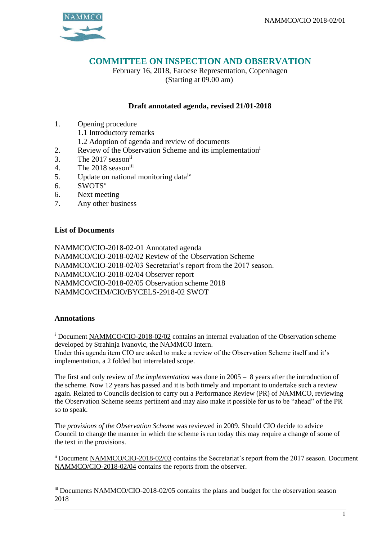

## **COMMITTEE ON INSPECTION AND OBSERVATION**

February 16, 2018, Faroese Representation, Copenhagen (Starting at 09.00 am)

## **Draft annotated agenda, revised 21/01-2018**

- 1. Opening procedure
	- 1.1 Introductory remarks
	- 1.2 Adoption of agenda and review of documents
- 2. Review of the Observation Scheme and its implementation<sup>i</sup>
- 3. The 2017 seasonii
- 4. The 2018 seasoniii
- 5. Update on national monitoring data<sup>iv</sup>
- 6. SWOTS<sup>v</sup>
- 6. Next meeting
- 7. Any other business

## **List of Documents**

NAMMCO/CIO-2018-02-01 Annotated agenda NAMMCO/CIO-2018-02/02 Review of the Observation Scheme NAMMCO/CIO-2018-02/03 Secretariat's report from the 2017 season. NAMMCO/CIO-2018-02/04 Observer report NAMMCO/CIO-2018-02/05 Observation scheme 2018 NAMMCO/CHM/CIO/BYCELS-2918-02 SWOT

## **Annotations**

<u>.</u>

The first and only review of *the implementation* was done in 2005 – 8 years after the introduction of the scheme. Now 12 years has passed and it is both timely and important to undertake such a review again. Related to Councils decision to carry out a Performance Review (PR) of NAMMCO, reviewing the Observation Scheme seems pertinent and may also make it possible for us to be "ahead" of the PR so to speak.

The *provisions of the Observation Scheme* was reviewed in 2009. Should CIO decide to advice Council to change the manner in which the scheme is run today this may require a change of some of the text in the provisions.

ii Document NAMMCO/CIO-2018-02/03 contains the Secretariat's report from the 2017 season. Document NAMMCO/CIO-2018-02/04 contains the reports from the observer.

iii Documents NAMMCO/CIO-2018-02/05 contains the plans and budget for the observation season 2018

<sup>&</sup>lt;sup>i</sup> Document NAMMCO/CIO-2018-02/02 contains an internal evaluation of the Observation scheme developed by Strahinja Ivanovic, the NAMMCO Intern.

Under this agenda item CIO are asked to make a review of the Observation Scheme itself and it's implementation, a 2 folded but interrelated scope.